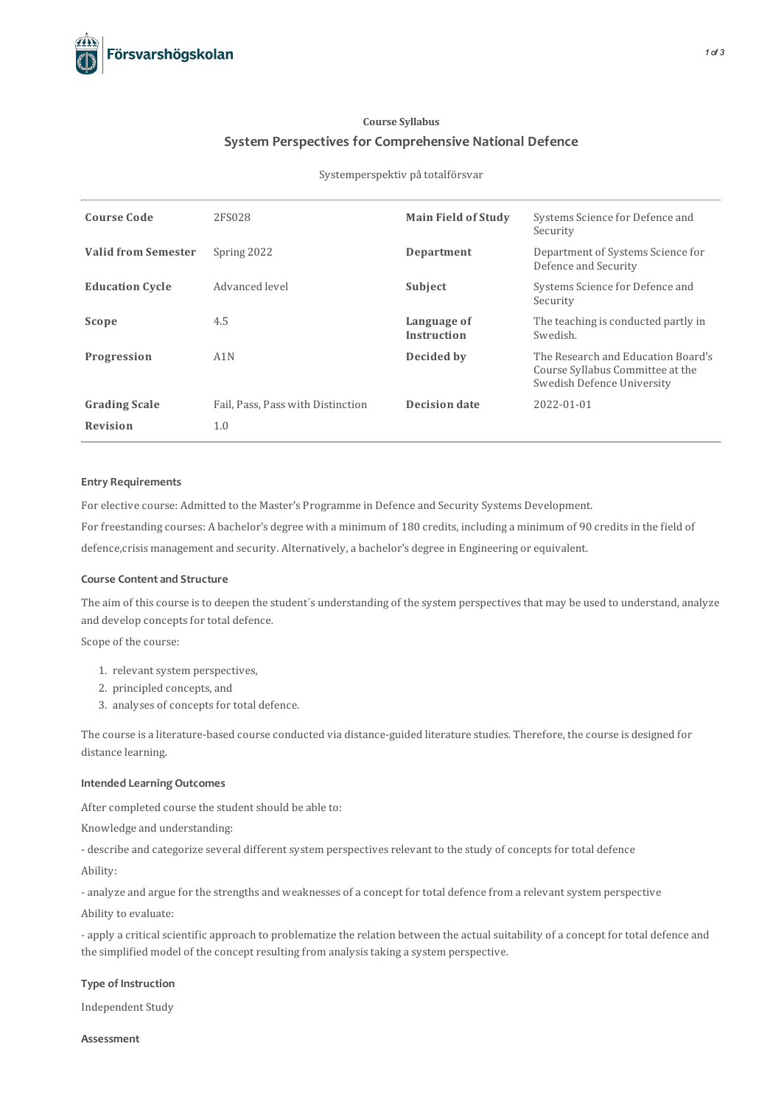

## **Course Syllabus System Perspectives for Comprehensive National Defence**

#### Systemperspektiv på totalförsvar

| <b>Course Code</b>         | 2FS028                            | <b>Main Field of Study</b>        | Systems Science for Defence and<br>Security                                                          |
|----------------------------|-----------------------------------|-----------------------------------|------------------------------------------------------------------------------------------------------|
| <b>Valid from Semester</b> | Spring 2022                       | Department                        | Department of Systems Science for<br>Defence and Security                                            |
| <b>Education Cycle</b>     | Advanced level                    | Subject                           | Systems Science for Defence and<br>Security                                                          |
| Scope                      | 4.5                               | Language of<br><b>Instruction</b> | The teaching is conducted partly in<br>Swedish.                                                      |
| Progression                | A <sub>1</sub> N                  | Decided by                        | The Research and Education Board's<br>Course Syllabus Committee at the<br>Swedish Defence University |
| <b>Grading Scale</b>       | Fail, Pass, Pass with Distinction | <b>Decision date</b>              | 2022-01-01                                                                                           |
| <b>Revision</b>            | 1.0                               |                                   |                                                                                                      |

#### **Entry Requirements**

For elective course: Admitted to the Master's Programme in Defence and Security Systems Development.

For freestanding courses: A bachelor's degree with a minimum of 180 credits, including a minimum of 90 credits in the field of

defence,crisis management and security. Alternatively, a bachelor's degree in Engineering or equivalent.

## **Course Contentand Structure**

The aim of this course is to deepen the student's understanding of the system perspectives that may be used to understand, analyze and develop concepts for total defence.

Scope of the course:

- 1. relevant system perspectives,
- 2. principled concepts, and
- 3. analyses of concepts for total defence.

The course is a literature-based course conducted via distance-guided literature studies. Therefore, the course is designed for distance learning.

## **Intended Learning Outcomes**

After completed course the student should be able to:

Knowledge and understanding:

- describe and categorize several different system perspectivesrelevant to the study of conceptsfor total defence Ability:

- analyze and argue for the strengths and weaknesses of a concept for total defence from a relevant system perspective

Ability to evaluate:

- apply a critical scientific approach to problematize the relation between the actual suitability of a concept for total defence and the simplified model of the concept resulting from analysistaking a system perspective.

## **Type of Instruction**

Independent Study

**Assessment**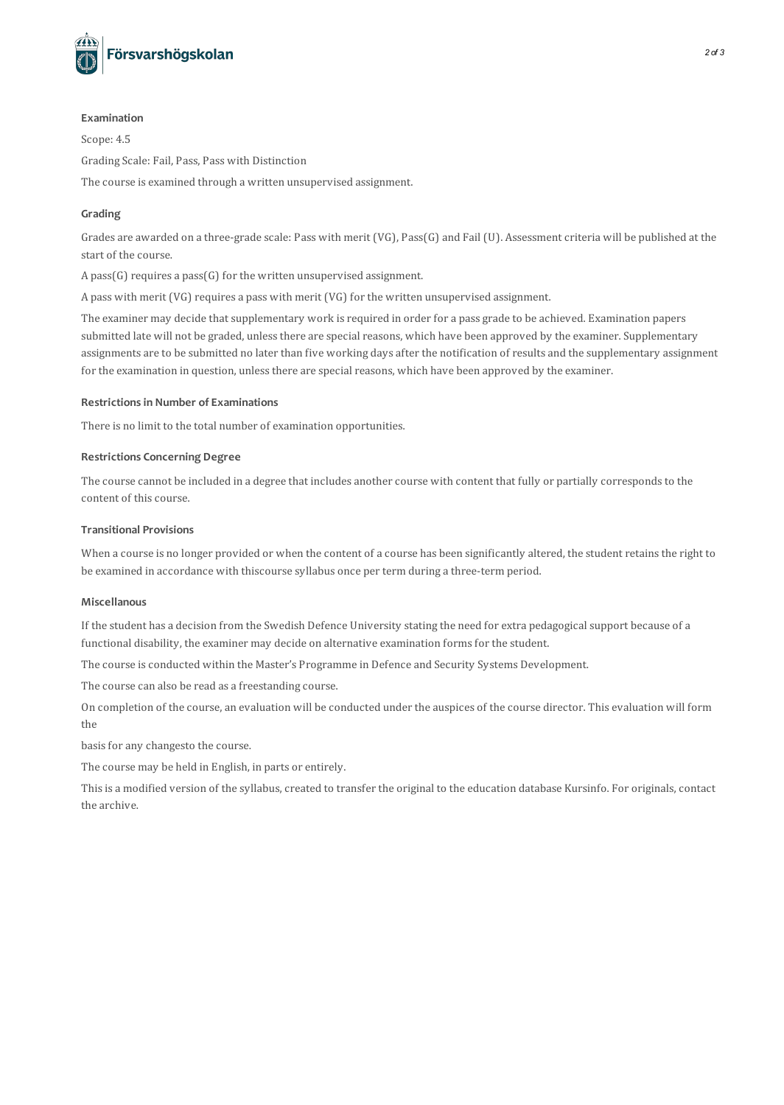

#### **Examination**

Scope: 4.5 Grading Scale: Fail, Pass, Pass with Distinction The course is examined through a written unsupervised assignment.

## **Grading**

Grades are awarded on a three-grade scale: Pass with merit (VG), Pass(G) and Fail (U). Assessmentcriteria will be published at the start of the course.

A pass( $G$ ) requires a pass( $G$ ) for the written unsupervised assignment.

A pass with merit (VG) requires a pass with merit (VG) for the written unsupervised assignment.

The examiner may decide that supplementary work is required in order for a pass grade to be achieved. Examination papers submitted late will not be graded, unless there are special reasons, which have been approved by the examiner. Supplementary assignments are to be submitted no later than five working days after the notification of results and the supplementary assignment for the examination in question, unless there are special reasons, which have been approved by the examiner.

## **Restrictionsin Number of Examinations**

There is no limit to the total number of examination opportunities.

## **Restrictions Concerning Degree**

The course cannot be included in a degree that includes another course with content that fully or partially corresponds to the content of thiscourse.

#### **Transitional Provisions**

When a course is no longer provided or when the content of a course has been significantly altered, the student retains the right to be examined in accordance with thiscourse syllabus once per term during a three-term period.

#### **Miscellanous**

If the student has a decision from the Swedish Defence University stating the need for extra pedagogicalsupport because of a functional disability, the examiner may decide on alternative examination formsfor the student.

The course isconducted within the Master's Programme in Defence and Security Systems Development.

The course can also be read as a freestanding course.

On completion of the course, an evaluation will be conducted under the auspices of the course director. This evaluation will form the

basisfor any changesto the course.

The course may be held in English, in parts or entirely.

This is a modified version of the syllabus, created to transfer the original to the education database Kursinfo. For originals, contact the archive.